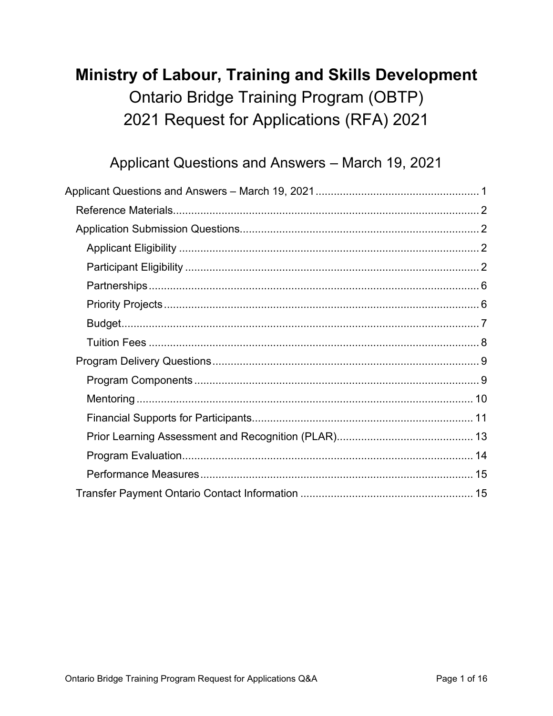# Ministry of Labour, Training and Skills Development **Ontario Bridge Training Program (OBTP)** 2021 Request for Applications (RFA) 2021

## Applicant Questions and Answers - March 19, 2021

<span id="page-0-0"></span>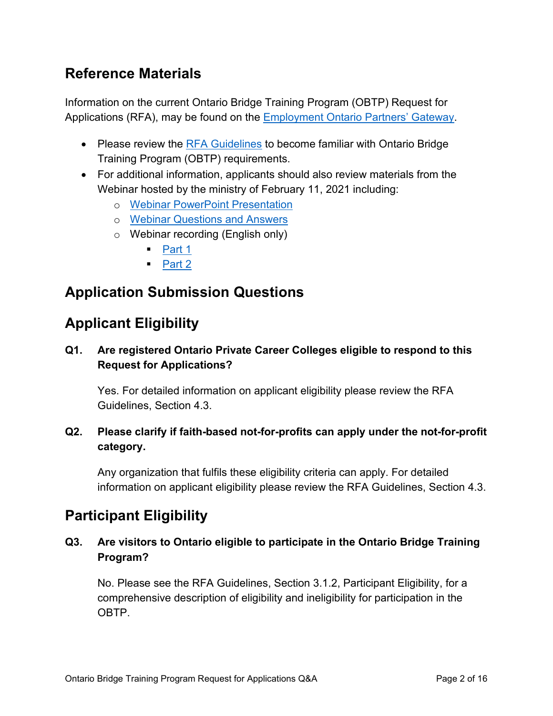## <span id="page-1-0"></span>**Reference Materials**

Information on the current Ontario Bridge Training Program (OBTP) Request for Applications (RFA), may be found on the [Employment Ontario Partners' Gateway.](http://www.tcu.gov.on.ca/eng/eopg/programs/obtp.html)

- Please review the [RFA Guidelines](http://www.tcu.gov.on.ca/eng/eopg/publications/obtp-request-for-applications-guidelines-en.pdf) to become familiar with Ontario Bridge Training Program (OBTP) requirements.
- For additional information, applicants should also review materials from the Webinar hosted by the ministry of February 11, 2021 including:
	- o [Webinar PowerPoint Presentation](http://www.tcu.gov.on.ca/eng/eopg/publications/obtp-deck-webinar-en.pptx)
	- o [Webinar Questions and Answers](http://www.tcu.gov.on.ca/eng/eopg/publications/obtp-qs-as-rfa-webinar-en.pdf)
	- o Webinar recording (English only)
		- $\blacksquare$  [Part 1](https://www.dropbox.com/s/p8k80ddb9egxyh5/OBTP%201%20small.mp4?dl=0)
		- $\blacksquare$  [Part 2](https://www.dropbox.com/s/581w9giwbkbmmn4/OBTP%202%20small.mp4?dl=0)

## <span id="page-1-1"></span>**Application Submission Questions**

## <span id="page-1-2"></span>**Applicant Eligibility**

### **Q1. Are registered Ontario Private Career Colleges eligible to respond to this Request for Applications?**

Yes. For detailed information on applicant eligibility please review the RFA Guidelines, Section 4.3.

## **Q2. Please clarify if faith-based not-for-profits can apply under the not-for-profit category.**

Any organization that fulfils these eligibility criteria can apply. For detailed information on applicant eligibility please review the RFA Guidelines, Section 4.3.

## <span id="page-1-3"></span>**Participant Eligibility**

### **Q3. Are visitors to Ontario eligible to participate in the Ontario Bridge Training Program?**

No. Please see the RFA Guidelines, Section 3.1.2, Participant Eligibility, for a comprehensive description of eligibility and ineligibility for participation in the OBTP.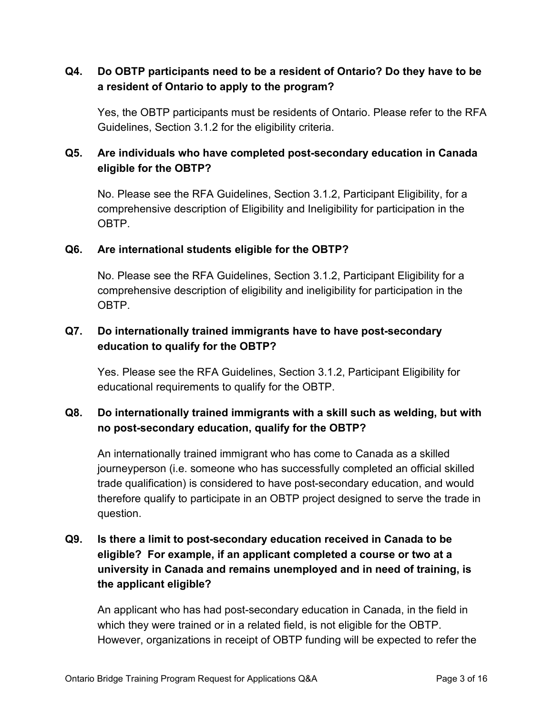#### **Q4. Do OBTP participants need to be a resident of Ontario? Do they have to be a resident of Ontario to apply to the program?**

Yes, the OBTP participants must be residents of Ontario. Please refer to the RFA Guidelines, Section 3.1.2 for the eligibility criteria.

### **Q5. Are individuals who have completed post-secondary education in Canada eligible for the OBTP?**

No. Please see the RFA Guidelines, Section 3.1.2, Participant Eligibility, for a comprehensive description of Eligibility and Ineligibility for participation in the OBTP.

#### **Q6. Are international students eligible for the OBTP?**

No. Please see the RFA Guidelines, Section 3.1.2, Participant Eligibility for a comprehensive description of eligibility and ineligibility for participation in the OBTP.

#### **Q7. Do internationally trained immigrants have to have post-secondary education to qualify for the OBTP?**

Yes. Please see the RFA Guidelines, Section 3.1.2, Participant Eligibility for educational requirements to qualify for the OBTP.

#### **Q8. Do internationally trained immigrants with a skill such as welding, but with no post-secondary education, qualify for the OBTP?**

An internationally trained immigrant who has come to Canada as a skilled journeyperson (i.e. someone who has successfully completed an official skilled trade qualification) is considered to have post-secondary education, and would therefore qualify to participate in an OBTP project designed to serve the trade in question.

## **Q9. Is there a limit to post-secondary education received in Canada to be eligible? For example, if an applicant completed a course or two at a university in Canada and remains unemployed and in need of training, is the applicant eligible?**

An applicant who has had post-secondary education in Canada, in the field in which they were trained or in a related field, is not eligible for the OBTP. However, organizations in receipt of OBTP funding will be expected to refer the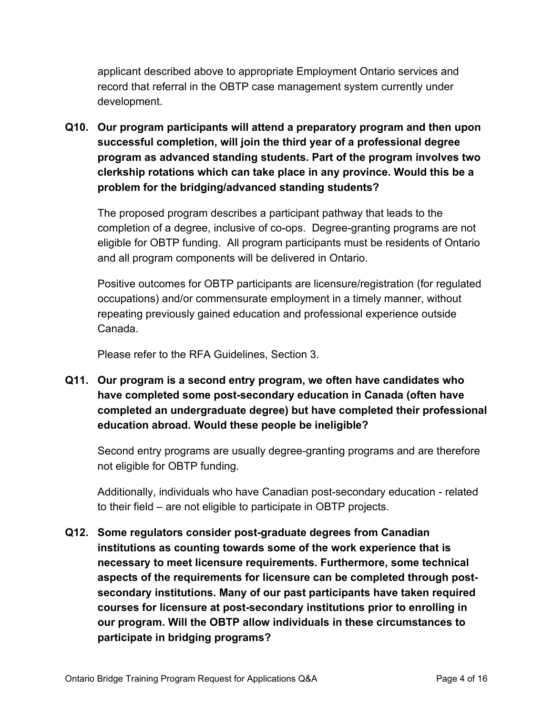applicant described above to appropriate Employment Ontario services and record that referral in the OBTP case management system currently under development.

**Q10. Our program participants will attend a preparatory program and then upon successful completion, will join the third year of a professional degree program as advanced standing students. Part of the program involves two clerkship rotations which can take place in any province. Would this be a problem for the bridging/advanced standing students?** 

The proposed program describes a participant pathway that leads to the completion of a degree, inclusive of co-ops. Degree-granting programs are not eligible for OBTP funding. All program participants must be residents of Ontario and all program components will be delivered in Ontario.

Positive outcomes for OBTP participants are licensure/registration (for regulated occupations) and/or commensurate employment in a timely manner, without repeating previously gained education and professional experience outside Canada.

Please refer to the RFA Guidelines, Section 3.

**Q11. Our program is a second entry program, we often have candidates who have completed some post-secondary education in Canada (often have completed an undergraduate degree) but have completed their professional education abroad. Would these people be ineligible?** 

Second entry programs are usually degree-granting programs and are therefore not eligible for OBTP funding.

Additionally, individuals who have Canadian post-secondary education - related to their field – are not eligible to participate in OBTP projects.

**Q12. Some regulators consider post-graduate degrees from Canadian institutions as counting towards some of the work experience that is necessary to meet licensure requirements. Furthermore, some technical aspects of the requirements for licensure can be completed through postsecondary institutions. Many of our past participants have taken required courses for licensure at post-secondary institutions prior to enrolling in our program. Will the OBTP allow individuals in these circumstances to participate in bridging programs?**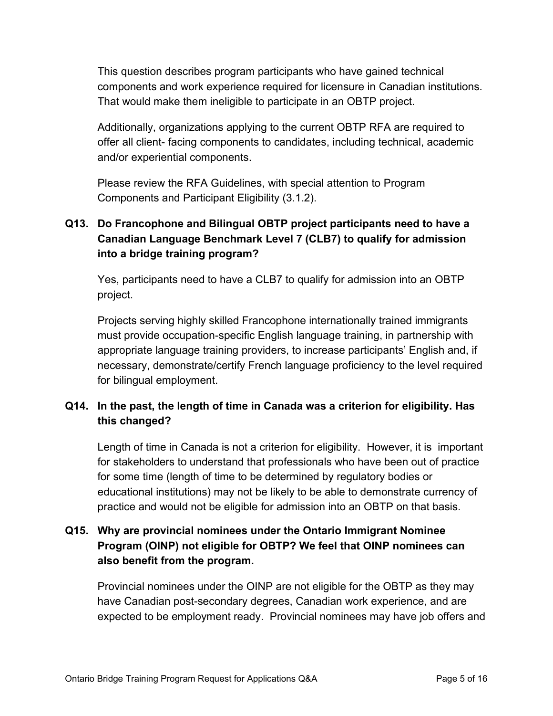This question describes program participants who have gained technical components and work experience required for licensure in Canadian institutions. That would make them ineligible to participate in an OBTP project.

Additionally, organizations applying to the current OBTP RFA are required to offer all client- facing components to candidates, including technical, academic and/or experiential components.

Please review the RFA Guidelines, with special attention to Program Components and Participant Eligibility (3.1.2).

## **Q13. Do Francophone and Bilingual OBTP project participants need to have a Canadian Language Benchmark Level 7 (CLB7) to qualify for admission into a bridge training program?**

Yes, participants need to have a CLB7 to qualify for admission into an OBTP project.

Projects serving highly skilled Francophone internationally trained immigrants must provide occupation-specific English language training, in partnership with appropriate language training providers, to increase participants' English and, if necessary, demonstrate/certify French language proficiency to the level required for bilingual employment.

## **Q14. In the past, the length of time in Canada was a criterion for eligibility. Has this changed?**

Length of time in Canada is not a criterion for eligibility. However, it is important for stakeholders to understand that professionals who have been out of practice for some time (length of time to be determined by regulatory bodies or educational institutions) may not be likely to be able to demonstrate currency of practice and would not be eligible for admission into an OBTP on that basis.

## **Q15. Why are provincial nominees under the Ontario Immigrant Nominee Program (OINP) not eligible for OBTP? We feel that OINP nominees can also benefit from the program.**

Provincial nominees under the OINP are not eligible for the OBTP as they may have Canadian post-secondary degrees, Canadian work experience, and are expected to be employment ready. Provincial nominees may have job offers and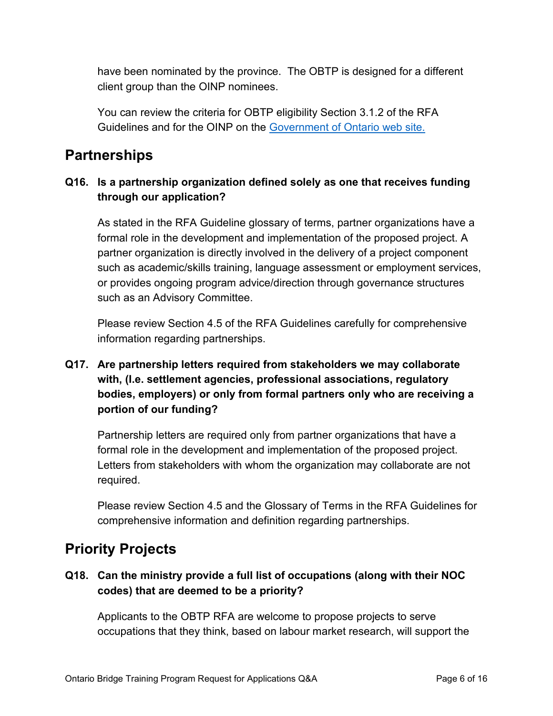have been nominated by the province. The OBTP is designed for a different client group than the OINP nominees.

You can review the criteria for OBTP eligibility Section 3.1.2 of the RFA Guidelines and for the OINP on the [Government of Ontario web site.](https://www.ontario.ca/page/ontario-immigrant-nominee-program-oinp)

## <span id="page-5-0"></span>**Partnerships**

### **Q16. Is a partnership organization defined solely as one that receives funding through our application?**

As stated in the RFA Guideline glossary of terms, partner organizations have a formal role in the development and implementation of the proposed project. A partner organization is directly involved in the delivery of a project component such as academic/skills training, language assessment or employment services, or provides ongoing program advice/direction through governance structures such as an Advisory Committee.

Please review Section 4.5 of the RFA Guidelines carefully for comprehensive information regarding partnerships.

## **Q17. Are partnership letters required from stakeholders we may collaborate with, (I.e. settlement agencies, professional associations, regulatory bodies, employers) or only from formal partners only who are receiving a portion of our funding?**

Partnership letters are required only from partner organizations that have a formal role in the development and implementation of the proposed project. Letters from stakeholders with whom the organization may collaborate are not required.

Please review Section 4.5 and the Glossary of Terms in the RFA Guidelines for comprehensive information and definition regarding partnerships.

## <span id="page-5-1"></span>**Priority Projects**

### **Q18. Can the ministry provide a full list of occupations (along with their NOC codes) that are deemed to be a priority?**

Applicants to the OBTP RFA are welcome to propose projects to serve occupations that they think, based on labour market research, will support the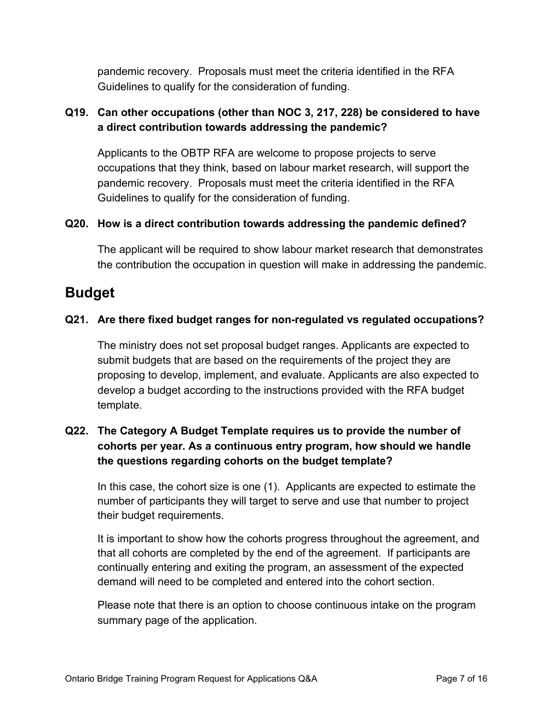pandemic recovery. Proposals must meet the criteria identified in the RFA Guidelines to qualify for the consideration of funding.

### **Q19. Can other occupations (other than NOC 3, 217, 228) be considered to have a direct contribution towards addressing the pandemic?**

Applicants to the OBTP RFA are welcome to propose projects to serve occupations that they think, based on labour market research, will support the pandemic recovery. Proposals must meet the criteria identified in the RFA Guidelines to qualify for the consideration of funding.

#### **Q20. How is a direct contribution towards addressing the pandemic defined?**

The applicant will be required to show labour market research that demonstrates the contribution the occupation in question will make in addressing the pandemic.

## <span id="page-6-0"></span>**Budget**

#### **Q21. Are there fixed budget ranges for non-regulated vs regulated occupations?**

The ministry does not set proposal budget ranges. Applicants are expected to submit budgets that are based on the requirements of the project they are proposing to develop, implement, and evaluate. Applicants are also expected to develop a budget according to the instructions provided with the RFA budget template.

## **Q22. The Category A Budget Template requires us to provide the number of cohorts per year. As a continuous entry program, how should we handle the questions regarding cohorts on the budget template?**

In this case, the cohort size is one (1). Applicants are expected to estimate the number of participants they will target to serve and use that number to project their budget requirements.

It is important to show how the cohorts progress throughout the agreement, and that all cohorts are completed by the end of the agreement. If participants are continually entering and exiting the program, an assessment of the expected demand will need to be completed and entered into the cohort section.

Please note that there is an option to choose continuous intake on the program summary page of the application.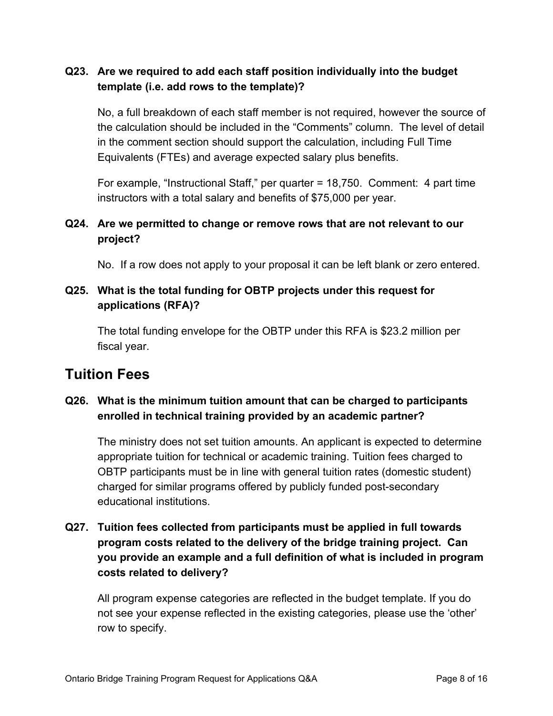#### **Q23. Are we required to add each staff position individually into the budget template (i.e. add rows to the template)?**

No, a full breakdown of each staff member is not required, however the source of the calculation should be included in the "Comments" column. The level of detail in the comment section should support the calculation, including Full Time Equivalents (FTEs) and average expected salary plus benefits.

For example, "Instructional Staff," per quarter = 18,750. Comment: 4 part time instructors with a total salary and benefits of \$75,000 per year.

#### **Q24. Are we permitted to change or remove rows that are not relevant to our project?**

No. If a row does not apply to your proposal it can be left blank or zero entered.

#### **Q25. What is the total funding for OBTP projects under this request for applications (RFA)?**

The total funding envelope for the OBTP under this RFA is \$23.2 million per fiscal year.

## <span id="page-7-0"></span>**Tuition Fees**

### **Q26. What is the minimum tuition amount that can be charged to participants enrolled in technical training provided by an academic partner?**

The ministry does not set tuition amounts. An applicant is expected to determine appropriate tuition for technical or academic training. Tuition fees charged to OBTP participants must be in line with general tuition rates (domestic student) charged for similar programs offered by publicly funded post-secondary educational institutions.

## **Q27. Tuition fees collected from participants must be applied in full towards program costs related to the delivery of the bridge training project. Can you provide an example and a full definition of what is included in program costs related to delivery?**

All program expense categories are reflected in the budget template. If you do not see your expense reflected in the existing categories, please use the 'other' row to specify.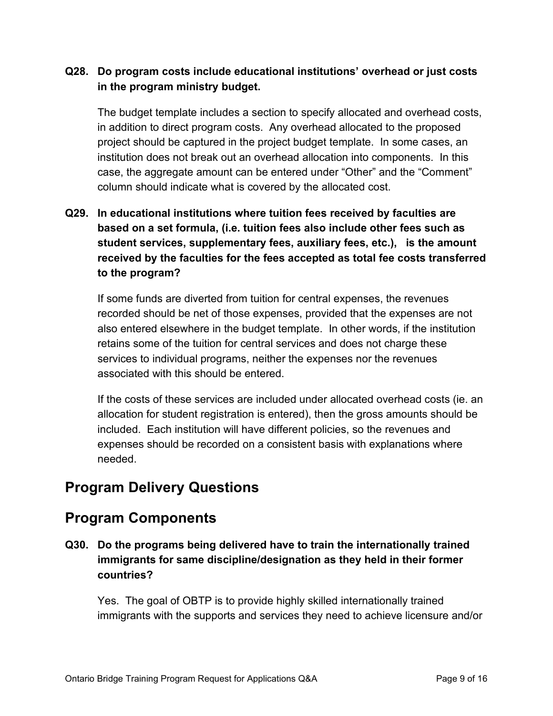#### **Q28. Do program costs include educational institutions' overhead or just costs in the program ministry budget.**

The budget template includes a section to specify allocated and overhead costs, in addition to direct program costs. Any overhead allocated to the proposed project should be captured in the project budget template. In some cases, an institution does not break out an overhead allocation into components. In this case, the aggregate amount can be entered under "Other" and the "Comment" column should indicate what is covered by the allocated cost.

## **Q29. In educational institutions where tuition fees received by faculties are based on a set formula, (i.e. tuition fees also include other fees such as student services, supplementary fees, auxiliary fees, etc.), is the amount received by the faculties for the fees accepted as total fee costs transferred to the program?**

If some funds are diverted from tuition for central expenses, the revenues recorded should be net of those expenses, provided that the expenses are not also entered elsewhere in the budget template. In other words, if the institution retains some of the tuition for central services and does not charge these services to individual programs, neither the expenses nor the revenues associated with this should be entered.

If the costs of these services are included under allocated overhead costs (ie. an allocation for student registration is entered), then the gross amounts should be included. Each institution will have different policies, so the revenues and expenses should be recorded on a consistent basis with explanations where needed.

## <span id="page-8-0"></span>**Program Delivery Questions**

## <span id="page-8-1"></span>**Program Components**

**Q30. Do the programs being delivered have to train the internationally trained immigrants for same discipline/designation as they held in their former countries?**

Yes. The goal of OBTP is to provide highly skilled internationally trained immigrants with the supports and services they need to achieve licensure and/or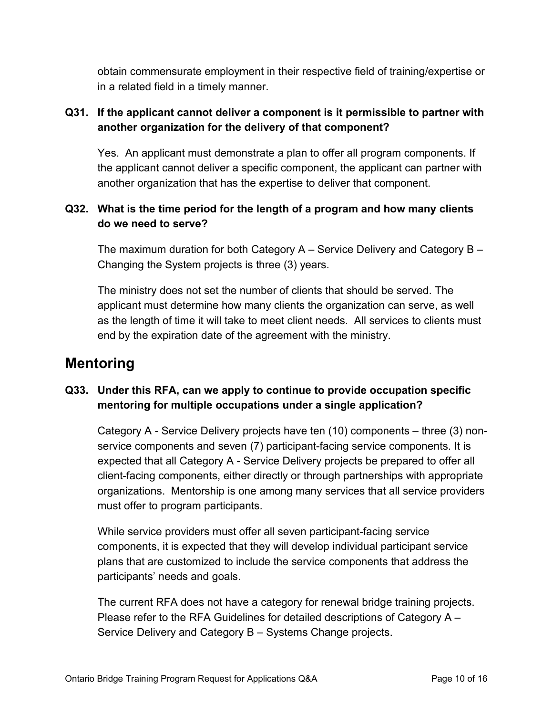obtain commensurate employment in their respective field of training/expertise or in a related field in a timely manner.

### **Q31. If the applicant cannot deliver a component is it permissible to partner with another organization for the delivery of that component?**

Yes. An applicant must demonstrate a plan to offer all program components. If the applicant cannot deliver a specific component, the applicant can partner with another organization that has the expertise to deliver that component.

### **Q32. What is the time period for the length of a program and how many clients do we need to serve?**

The maximum duration for both Category A – Service Delivery and Category B – Changing the System projects is three (3) years.

The ministry does not set the number of clients that should be served. The applicant must determine how many clients the organization can serve, as well as the length of time it will take to meet client needs. All services to clients must end by the expiration date of the agreement with the ministry.

## <span id="page-9-0"></span>**Mentoring**

### **Q33. Under this RFA, can we apply to continue to provide occupation specific mentoring for multiple occupations under a single application?**

Category A - Service Delivery projects have ten (10) components – three (3) nonservice components and seven (7) participant-facing service components. It is expected that all Category A - Service Delivery projects be prepared to offer all client-facing components, either directly or through partnerships with appropriate organizations. Mentorship is one among many services that all service providers must offer to program participants.

While service providers must offer all seven participant-facing service components, it is expected that they will develop individual participant service plans that are customized to include the service components that address the participants' needs and goals.

The current RFA does not have a category for renewal bridge training projects. Please refer to the RFA Guidelines for detailed descriptions of Category A – Service Delivery and Category B – Systems Change projects.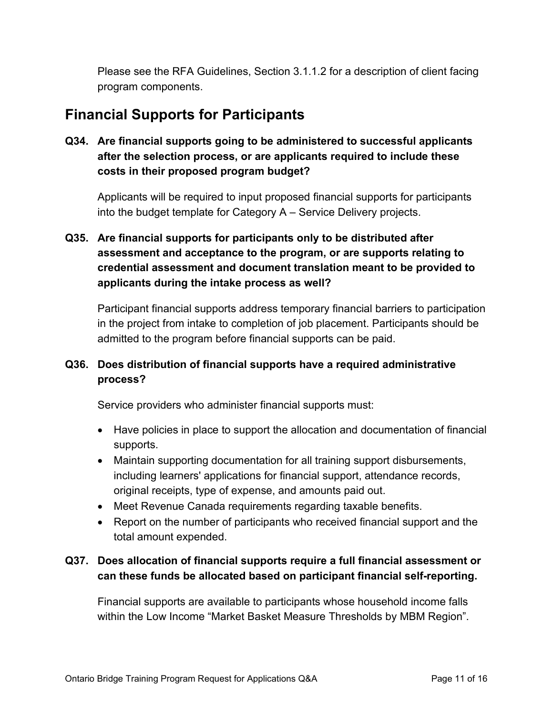Please see the RFA Guidelines, Section 3.1.1.2 for a description of client facing program components.

## <span id="page-10-0"></span>**Financial Supports for Participants**

**Q34. Are financial supports going to be administered to successful applicants after the selection process, or are applicants required to include these costs in their proposed program budget?**

Applicants will be required to input proposed financial supports for participants into the budget template for Category A – Service Delivery projects.

## **Q35. Are financial supports for participants only to be distributed after assessment and acceptance to the program, or are supports relating to credential assessment and document translation meant to be provided to applicants during the intake process as well?**

Participant financial supports address temporary financial barriers to participation in the project from intake to completion of job placement. Participants should be admitted to the program before financial supports can be paid.

### **Q36. Does distribution of financial supports have a required administrative process?**

Service providers who administer financial supports must:

- Have policies in place to support the allocation and documentation of financial supports.
- Maintain supporting documentation for all training support disbursements, including learners' applications for financial support, attendance records, original receipts, type of expense, and amounts paid out.
- Meet Revenue Canada requirements regarding taxable benefits.
- Report on the number of participants who received financial support and the total amount expended.

### **Q37. Does allocation of financial supports require a full financial assessment or can these funds be allocated based on participant financial self-reporting.**

Financial supports are available to participants whose household income falls within the Low Income "Market Basket Measure Thresholds by MBM Region".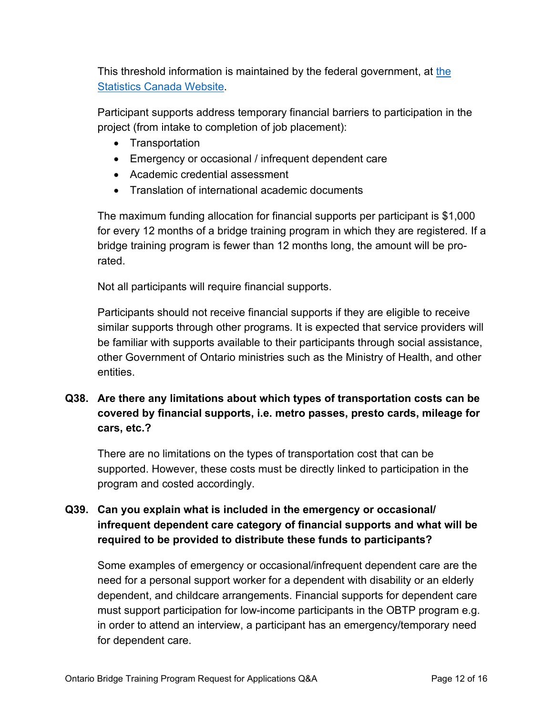This threshold information is maintained by the federal government, at [the](https://www150.statcan.gc.ca/t1/tbl1/en/tv.action?pid=1110006601)  [Statistics Canada Website.](https://www150.statcan.gc.ca/t1/tbl1/en/tv.action?pid=1110006601)

Participant supports address temporary financial barriers to participation in the project (from intake to completion of job placement):

- Transportation
- Emergency or occasional / infrequent dependent care
- Academic credential assessment
- Translation of international academic documents

The maximum funding allocation for financial supports per participant is \$1,000 for every 12 months of a bridge training program in which they are registered. If a bridge training program is fewer than 12 months long, the amount will be prorated.

Not all participants will require financial supports.

Participants should not receive financial supports if they are eligible to receive similar supports through other programs. It is expected that service providers will be familiar with supports available to their participants through social assistance, other Government of Ontario ministries such as the Ministry of Health, and other entities.

**Q38. Are there any limitations about which types of transportation costs can be covered by financial supports, i.e. metro passes, presto cards, mileage for cars, etc.?** 

There are no limitations on the types of transportation cost that can be supported. However, these costs must be directly linked to participation in the program and costed accordingly.

### **Q39. Can you explain what is included in the emergency or occasional/ infrequent dependent care category of financial supports and what will be required to be provided to distribute these funds to participants?**

Some examples of emergency or occasional/infrequent dependent care are the need for a personal support worker for a dependent with disability or an elderly dependent, and childcare arrangements. Financial supports for dependent care must support participation for low-income participants in the OBTP program e.g. in order to attend an interview, a participant has an emergency/temporary need for dependent care.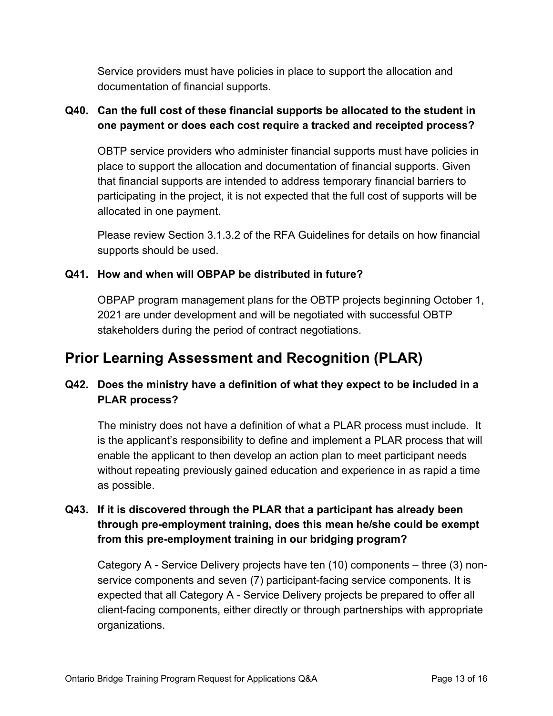Service providers must have policies in place to support the allocation and documentation of financial supports.

## **Q40. Can the full cost of these financial supports be allocated to the student in one payment or does each cost require a tracked and receipted process?**

OBTP service providers who administer financial supports must have policies in place to support the allocation and documentation of financial supports. Given that financial supports are intended to address temporary financial barriers to participating in the project, it is not expected that the full cost of supports will be allocated in one payment.

Please review Section 3.1.3.2 of the RFA Guidelines for details on how financial supports should be used.

#### **Q41. How and when will OBPAP be distributed in future?**

OBPAP program management plans for the OBTP projects beginning October 1, 2021 are under development and will be negotiated with successful OBTP stakeholders during the period of contract negotiations.

## <span id="page-12-0"></span>**Prior Learning Assessment and Recognition (PLAR)**

## **Q42. Does the ministry have a definition of what they expect to be included in a PLAR process?**

The ministry does not have a definition of what a PLAR process must include. It is the applicant's responsibility to define and implement a PLAR process that will enable the applicant to then develop an action plan to meet participant needs without repeating previously gained education and experience in as rapid a time as possible.

### **Q43. If it is discovered through the PLAR that a participant has already been through pre-employment training, does this mean he/she could be exempt from this pre-employment training in our bridging program?**

Category A - Service Delivery projects have ten (10) components – three (3) nonservice components and seven (7) participant-facing service components. It is expected that all Category A - Service Delivery projects be prepared to offer all client-facing components, either directly or through partnerships with appropriate organizations.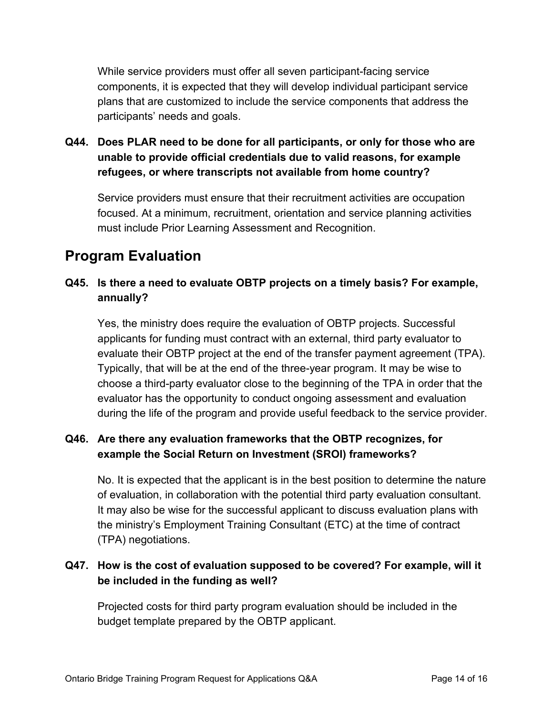While service providers must offer all seven participant-facing service components, it is expected that they will develop individual participant service plans that are customized to include the service components that address the participants' needs and goals.

**Q44. Does PLAR need to be done for all participants, or only for those who are unable to provide official credentials due to valid reasons, for example refugees, or where transcripts not available from home country?**

Service providers must ensure that their recruitment activities are occupation focused. At a minimum, recruitment, orientation and service planning activities must include Prior Learning Assessment and Recognition.

## <span id="page-13-0"></span>**Program Evaluation**

### **Q45. Is there a need to evaluate OBTP projects on a timely basis? For example, annually?**

Yes, the ministry does require the evaluation of OBTP projects. Successful applicants for funding must contract with an external, third party evaluator to evaluate their OBTP project at the end of the transfer payment agreement (TPA). Typically, that will be at the end of the three-year program. It may be wise to choose a third-party evaluator close to the beginning of the TPA in order that the evaluator has the opportunity to conduct ongoing assessment and evaluation during the life of the program and provide useful feedback to the service provider.

### **Q46. Are there any evaluation frameworks that the OBTP recognizes, for example the Social Return on Investment (SROI) frameworks?**

No. It is expected that the applicant is in the best position to determine the nature of evaluation, in collaboration with the potential third party evaluation consultant. It may also be wise for the successful applicant to discuss evaluation plans with the ministry's Employment Training Consultant (ETC) at the time of contract (TPA) negotiations.

### **Q47. How is the cost of evaluation supposed to be covered? For example, will it be included in the funding as well?**

Projected costs for third party program evaluation should be included in the budget template prepared by the OBTP applicant.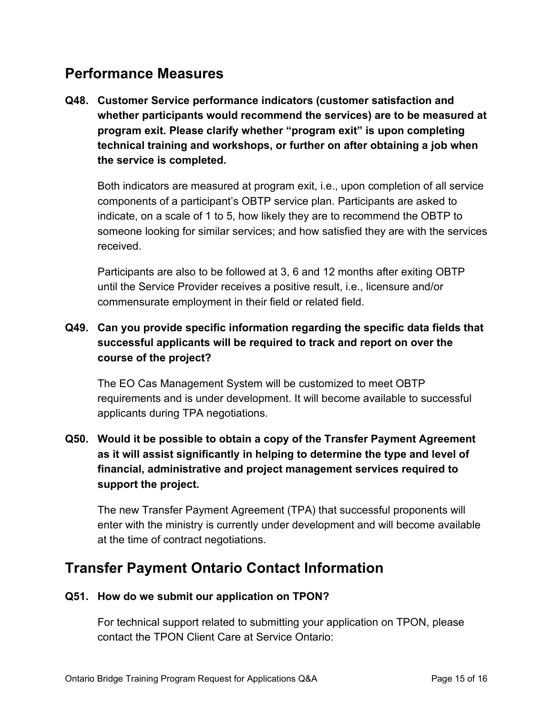## <span id="page-14-0"></span>**Performance Measures**

**Q48. Customer Service performance indicators (customer satisfaction and whether participants would recommend the services) are to be measured at program exit. Please clarify whether "program exit" is upon completing technical training and workshops, or further on after obtaining a job when the service is completed.**

Both indicators are measured at program exit, i.e., upon completion of all service components of a participant's OBTP service plan. Participants are asked to indicate, on a scale of 1 to 5, how likely they are to recommend the OBTP to someone looking for similar services; and how satisfied they are with the services received.

Participants are also to be followed at 3, 6 and 12 months after exiting OBTP until the Service Provider receives a positive result, i.e., licensure and/or commensurate employment in their field or related field.

## **Q49. Can you provide specific information regarding the specific data fields that successful applicants will be required to track and report on over the course of the project?**

The EO Cas Management System will be customized to meet OBTP requirements and is under development. It will become available to successful applicants during TPA negotiations.

## **Q50. Would it be possible to obtain a copy of the Transfer Payment Agreement as it will assist significantly in helping to determine the type and level of financial, administrative and project management services required to support the project.**

The new Transfer Payment Agreement (TPA) that successful proponents will enter with the ministry is currently under development and will become available at the time of contract negotiations.

## <span id="page-14-1"></span>**Transfer Payment Ontario Contact Information**

#### **Q51. How do we submit our application on TPON?**

For technical support related to submitting your application on TPON, please contact the TPON Client Care at Service Ontario: